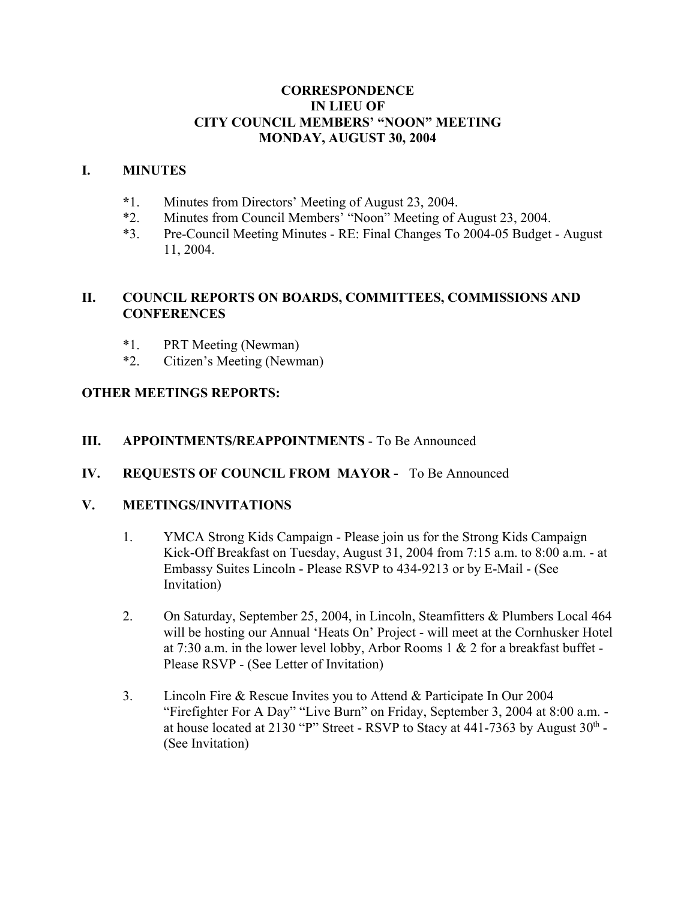### **CORRESPONDENCE IN LIEU OF CITY COUNCIL MEMBERS' "NOON" MEETING MONDAY, AUGUST 30, 2004**

#### **I. MINUTES**

- **\***1. Minutes from Directors' Meeting of August 23, 2004.
- \*2. Minutes from Council Members' "Noon" Meeting of August 23, 2004.
- \*3. Pre-Council Meeting Minutes RE: Final Changes To 2004-05 Budget August 11, 2004.

## **II. COUNCIL REPORTS ON BOARDS, COMMITTEES, COMMISSIONS AND CONFERENCES**

- \*1. PRT Meeting (Newman)
- \*2. Citizen's Meeting (Newman)

## **OTHER MEETINGS REPORTS:**

#### **III. APPOINTMENTS/REAPPOINTMENTS** - To Be Announced

**IV. REQUESTS OF COUNCIL FROM MAYOR -** To Be Announced

## **V. MEETINGS/INVITATIONS**

- 1. YMCA Strong Kids Campaign Please join us for the Strong Kids Campaign Kick-Off Breakfast on Tuesday, August 31, 2004 from 7:15 a.m. to 8:00 a.m. - at Embassy Suites Lincoln - Please RSVP to 434-9213 or by E-Mail - (See Invitation)
- 2. On Saturday, September 25, 2004, in Lincoln, Steamfitters & Plumbers Local 464 will be hosting our Annual 'Heats On' Project - will meet at the Cornhusker Hotel at 7:30 a.m. in the lower level lobby, Arbor Rooms 1 & 2 for a breakfast buffet - Please RSVP - (See Letter of Invitation)
- 3. Lincoln Fire & Rescue Invites you to Attend & Participate In Our 2004 "Firefighter For A Day" "Live Burn" on Friday, September 3, 2004 at 8:00 a.m. at house located at 2130 "P" Street - RSVP to Stacy at  $441-7363$  by August  $30<sup>th</sup>$  -(See Invitation)